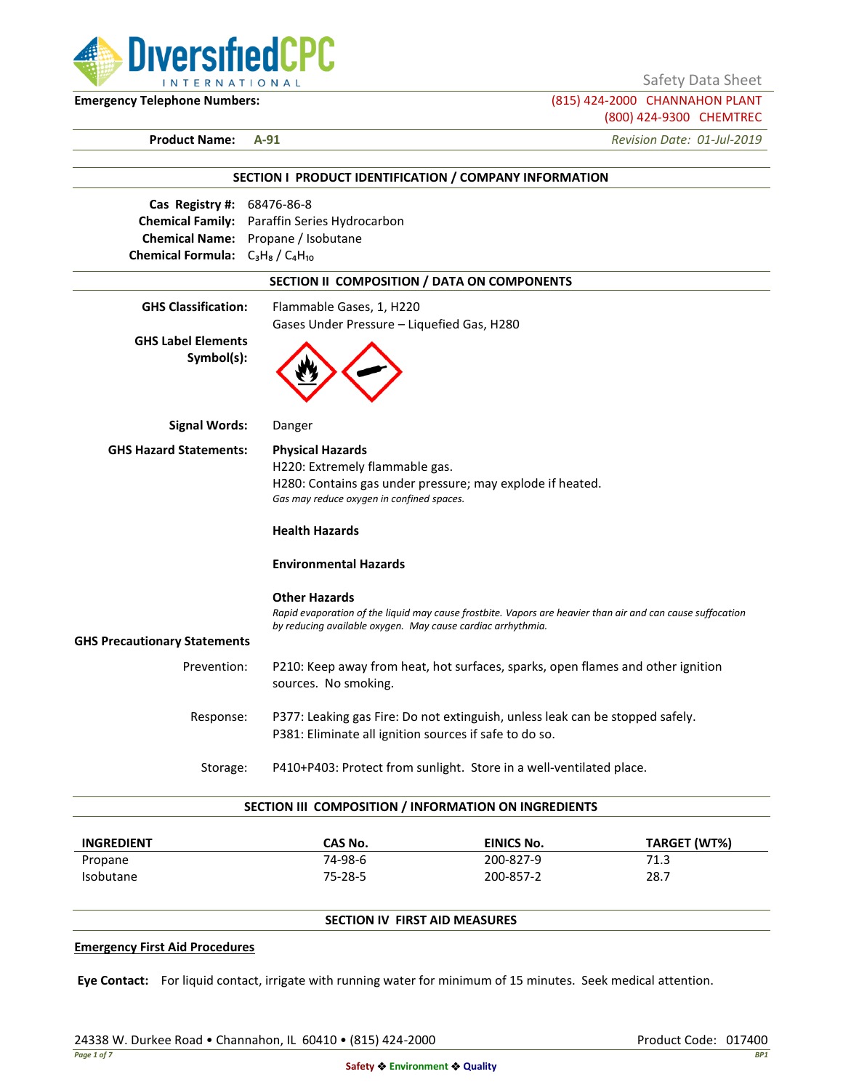

Safety Data Sheet

**Emergency Telephone Numbers:** (815) 424-2000 CHANNAHON PLANT (800) 424-9300 CHEMTREC

**Product Name: A-91** *Revision Date: 01-Jul-2019*

|                                         | SECTION I PRODUCT IDENTIFICATION / COMPANY INFORMATION                                                     |
|-----------------------------------------|------------------------------------------------------------------------------------------------------------|
| Cas Registry #: 68476-86-8              |                                                                                                            |
|                                         | Chemical Family: Paraffin Series Hydrocarbon                                                               |
|                                         | Chemical Name: Propane / Isobutane                                                                         |
| Chemical Formula: $C_3H_8/C_4H_{10}$    |                                                                                                            |
|                                         | SECTION II COMPOSITION / DATA ON COMPONENTS                                                                |
| <b>GHS Classification:</b>              | Flammable Gases, 1, H220                                                                                   |
|                                         | Gases Under Pressure - Liquefied Gas, H280                                                                 |
| <b>GHS Label Elements</b><br>Symbol(s): |                                                                                                            |
| <b>Signal Words:</b>                    | Danger                                                                                                     |
| <b>GHS Hazard Statements:</b>           | <b>Physical Hazards</b>                                                                                    |
|                                         | H220: Extremely flammable gas.                                                                             |
|                                         | H280: Contains gas under pressure; may explode if heated.                                                  |
|                                         | Gas may reduce oxygen in confined spaces.                                                                  |
|                                         | <b>Health Hazards</b>                                                                                      |
|                                         | <b>Environmental Hazards</b>                                                                               |
|                                         | <b>Other Hazards</b>                                                                                       |
|                                         | Rapid evaporation of the liquid may cause frostbite. Vapors are heavier than air and can cause suffocation |
| <b>GHS Precautionary Statements</b>     | by reducing available oxygen. May cause cardiac arrhythmia.                                                |
|                                         |                                                                                                            |
| Prevention:                             | P210: Keep away from heat, hot surfaces, sparks, open flames and other ignition<br>sources. No smoking.    |
| Response:                               | P377: Leaking gas Fire: Do not extinguish, unless leak can be stopped safely.                              |
|                                         | P381: Eliminate all ignition sources if safe to do so.                                                     |
|                                         | P410+P403: Protect from sunlight. Store in a well-ventilated place.<br>Storage:                            |

| <b>INGREDIENT</b> | CAS No. | <b>EINICS No.</b> | <b>TARGET (WT%)</b> |
|-------------------|---------|-------------------|---------------------|
| Propane           | 74-98-6 | 200-827-9         | 71.3                |
| <b>Isobutane</b>  | 75-28-5 | 200-857-2         | 28.7                |

# **SECTION IV FIRST AID MEASURES**

#### **Emergency First Aid Procedures**

**Eye Contact:** For liquid contact, irrigate with running water for minimum of 15 minutes. Seek medical attention.

24338 W. Durkee Road • Channahon, IL 60410 • (815) 424-2000 Product Code: 017400 Product Code: 017400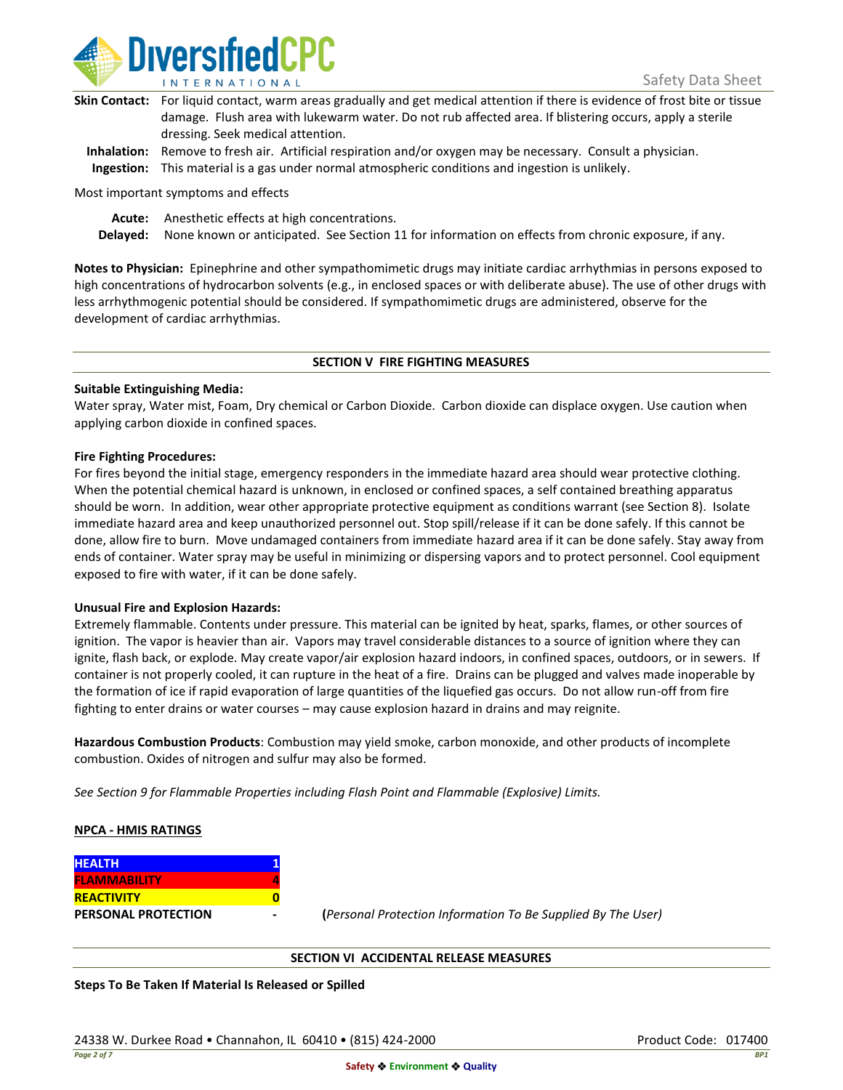

| Skin Contact: For liquid contact, warm areas gradually and get medical attention if there is evidence of frost bite or tissue |
|-------------------------------------------------------------------------------------------------------------------------------|
| damage. Flush area with lukewarm water. Do not rub affected area. If blistering occurs, apply a sterile                       |
| dressing. Seek medical attention.                                                                                             |
|                                                                                                                               |

**Inhalation:** Remove to fresh air. Artificial respiration and/or oxygen may be necessary. Consult a physician. **Ingestion:** This material is a gas under normal atmospheric conditions and ingestion is unlikely.

Most important symptoms and effects

**Acute:** Anesthetic effects at high concentrations.

**Delayed:** None known or anticipated. See Section 11 for information on effects from chronic exposure, if any.

**Notes to Physician:** Epinephrine and other sympathomimetic drugs may initiate cardiac arrhythmias in persons exposed to high concentrations of hydrocarbon solvents (e.g., in enclosed spaces or with deliberate abuse). The use of other drugs with less arrhythmogenic potential should be considered. If sympathomimetic drugs are administered, observe for the development of cardiac arrhythmias.

#### **SECTION V FIRE FIGHTING MEASURES**

### **Suitable Extinguishing Media:**

Water spray, Water mist, Foam, Dry chemical or Carbon Dioxide. Carbon dioxide can displace oxygen. Use caution when applying carbon dioxide in confined spaces.

### **Fire Fighting Procedures:**

For fires beyond the initial stage, emergency responders in the immediate hazard area should wear protective clothing. When the potential chemical hazard is unknown, in enclosed or confined spaces, a self contained breathing apparatus should be worn. In addition, wear other appropriate protective equipment as conditions warrant (see Section 8). Isolate immediate hazard area and keep unauthorized personnel out. Stop spill/release if it can be done safely. If this cannot be done, allow fire to burn. Move undamaged containers from immediate hazard area if it can be done safely. Stay away from ends of container. Water spray may be useful in minimizing or dispersing vapors and to protect personnel. Cool equipment exposed to fire with water, if it can be done safely.

### **Unusual Fire and Explosion Hazards:**

Extremely flammable. Contents under pressure. This material can be ignited by heat, sparks, flames, or other sources of ignition. The vapor is heavier than air. Vapors may travel considerable distances to a source of ignition where they can ignite, flash back, or explode. May create vapor/air explosion hazard indoors, in confined spaces, outdoors, or in sewers. If container is not properly cooled, it can rupture in the heat of a fire. Drains can be plugged and valves made inoperable by the formation of ice if rapid evaporation of large quantities of the liquefied gas occurs. Do not allow run-off from fire fighting to enter drains or water courses – may cause explosion hazard in drains and may reignite.

**Hazardous Combustion Products**: Combustion may yield smoke, carbon monoxide, and other products of incomplete combustion. Oxides of nitrogen and sulfur may also be formed.

*See Section 9 for Flammable Properties including Flash Point and Flammable (Explosive) Limits.*

### **NPCA - HMIS RATINGS**

| <b>HEALTH</b>              |  |
|----------------------------|--|
| <b>FLAMMABILITY</b>        |  |
| <b>REACTIVITY</b>          |  |
| <b>PERSONAL PROTECTION</b> |  |

**PERSONAL PROTECTION - (***Personal Protection Information To Be Supplied By The User)*

### **SECTION VI ACCIDENTAL RELEASE MEASURES**

**Steps To Be Taken If Material Is Released or Spilled**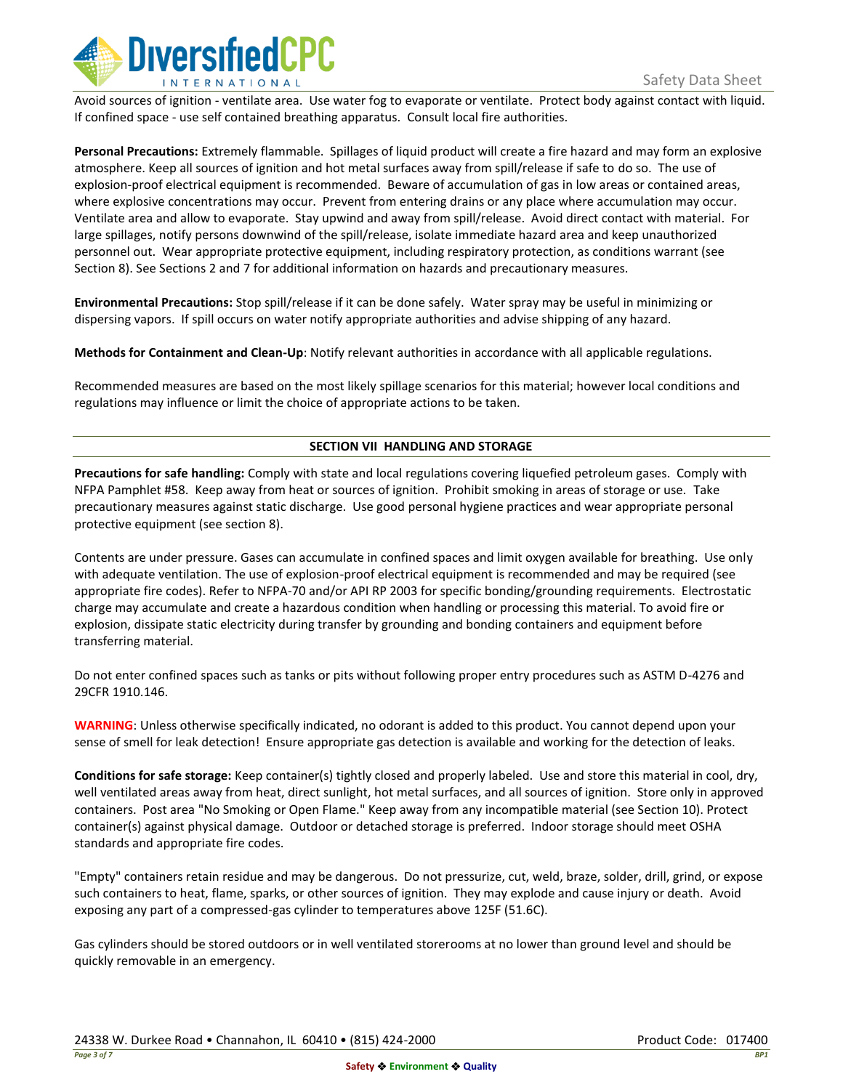

Avoid sources of ignition - ventilate area. Use water fog to evaporate or ventilate. Protect body against contact with liquid. If confined space - use self contained breathing apparatus. Consult local fire authorities.

**Personal Precautions:** Extremely flammable. Spillages of liquid product will create a fire hazard and may form an explosive atmosphere. Keep all sources of ignition and hot metal surfaces away from spill/release if safe to do so. The use of explosion-proof electrical equipment is recommended. Beware of accumulation of gas in low areas or contained areas, where explosive concentrations may occur. Prevent from entering drains or any place where accumulation may occur. Ventilate area and allow to evaporate. Stay upwind and away from spill/release. Avoid direct contact with material. For large spillages, notify persons downwind of the spill/release, isolate immediate hazard area and keep unauthorized personnel out. Wear appropriate protective equipment, including respiratory protection, as conditions warrant (see Section 8). See Sections 2 and 7 for additional information on hazards and precautionary measures.

**Environmental Precautions:** Stop spill/release if it can be done safely. Water spray may be useful in minimizing or dispersing vapors. If spill occurs on water notify appropriate authorities and advise shipping of any hazard.

**Methods for Containment and Clean-Up**: Notify relevant authorities in accordance with all applicable regulations.

Recommended measures are based on the most likely spillage scenarios for this material; however local conditions and regulations may influence or limit the choice of appropriate actions to be taken.

## **SECTION VII HANDLING AND STORAGE**

**Precautions for safe handling:** Comply with state and local regulations covering liquefied petroleum gases. Comply with NFPA Pamphlet #58. Keep away from heat or sources of ignition. Prohibit smoking in areas of storage or use. Take precautionary measures against static discharge. Use good personal hygiene practices and wear appropriate personal protective equipment (see section 8).

Contents are under pressure. Gases can accumulate in confined spaces and limit oxygen available for breathing. Use only with adequate ventilation. The use of explosion-proof electrical equipment is recommended and may be required (see appropriate fire codes). Refer to NFPA-70 and/or API RP 2003 for specific bonding/grounding requirements. Electrostatic charge may accumulate and create a hazardous condition when handling or processing this material. To avoid fire or explosion, dissipate static electricity during transfer by grounding and bonding containers and equipment before transferring material.

Do not enter confined spaces such as tanks or pits without following proper entry procedures such as ASTM D-4276 and 29CFR 1910.146.

**WARNING**: Unless otherwise specifically indicated, no odorant is added to this product. You cannot depend upon your sense of smell for leak detection! Ensure appropriate gas detection is available and working for the detection of leaks.

**Conditions for safe storage:** Keep container(s) tightly closed and properly labeled. Use and store this material in cool, dry, well ventilated areas away from heat, direct sunlight, hot metal surfaces, and all sources of ignition. Store only in approved containers. Post area "No Smoking or Open Flame." Keep away from any incompatible material (see Section 10). Protect container(s) against physical damage. Outdoor or detached storage is preferred. Indoor storage should meet OSHA standards and appropriate fire codes.

"Empty" containers retain residue and may be dangerous. Do not pressurize, cut, weld, braze, solder, drill, grind, or expose such containers to heat, flame, sparks, or other sources of ignition. They may explode and cause injury or death. Avoid exposing any part of a compressed-gas cylinder to temperatures above 125F (51.6C).

Gas cylinders should be stored outdoors or in well ventilated storerooms at no lower than ground level and should be quickly removable in an emergency.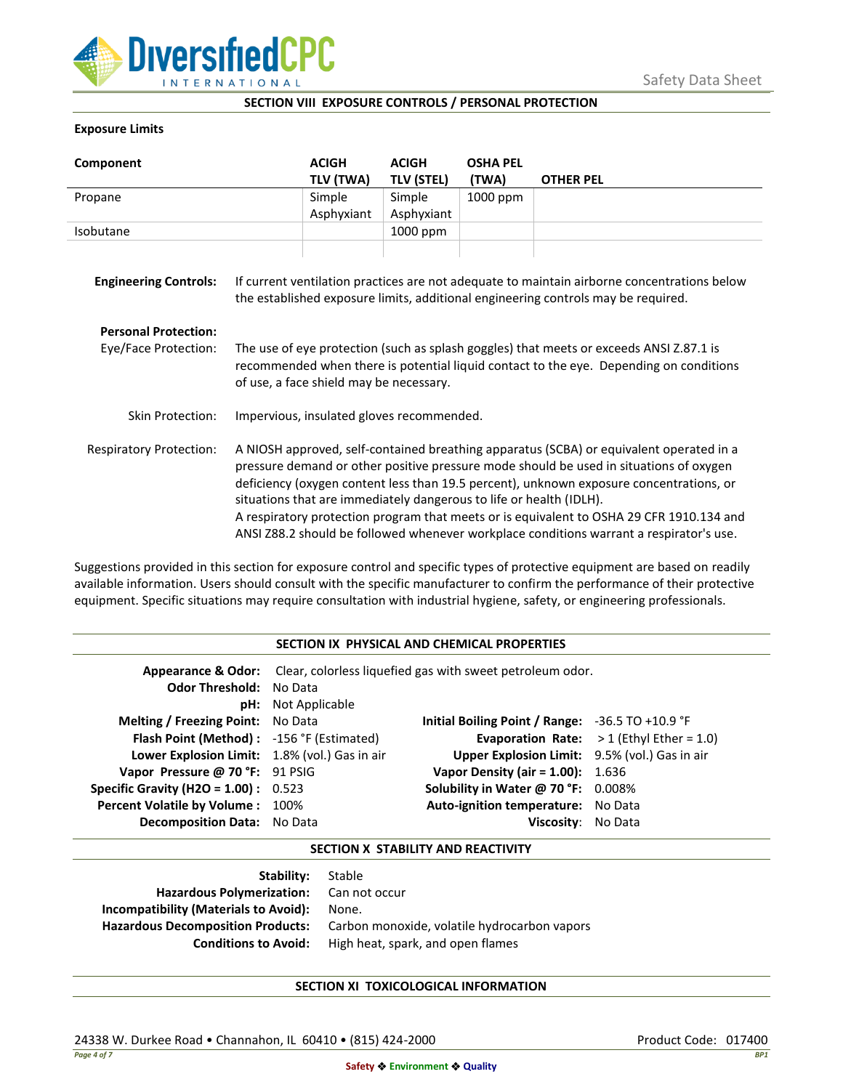

### **SECTION VIII EXPOSURE CONTROLS / PERSONAL PROTECTION**

### **Exposure Limits**

| Component                      |                                                                                                                                                                                                                                                                                                                                                                                                                                                                                                                                            | <b>ACIGH</b><br>TLV (TWA) | <b>ACIGH</b><br><b>TLV (STEL)</b> | <b>OSHA PEL</b><br>(TWA) | <b>OTHER PEL</b> |
|--------------------------------|--------------------------------------------------------------------------------------------------------------------------------------------------------------------------------------------------------------------------------------------------------------------------------------------------------------------------------------------------------------------------------------------------------------------------------------------------------------------------------------------------------------------------------------------|---------------------------|-----------------------------------|--------------------------|------------------|
| Propane                        |                                                                                                                                                                                                                                                                                                                                                                                                                                                                                                                                            | Simple                    | Simple                            | 1000 ppm                 |                  |
|                                |                                                                                                                                                                                                                                                                                                                                                                                                                                                                                                                                            | Asphyxiant                | Asphyxiant                        |                          |                  |
| Isobutane                      |                                                                                                                                                                                                                                                                                                                                                                                                                                                                                                                                            |                           | 1000 ppm                          |                          |                  |
| <b>Engineering Controls:</b>   | If current ventilation practices are not adequate to maintain airborne concentrations below<br>the established exposure limits, additional engineering controls may be required.                                                                                                                                                                                                                                                                                                                                                           |                           |                                   |                          |                  |
| <b>Personal Protection:</b>    |                                                                                                                                                                                                                                                                                                                                                                                                                                                                                                                                            |                           |                                   |                          |                  |
| Eye/Face Protection:           | The use of eye protection (such as splash goggles) that meets or exceeds ANSI Z.87.1 is<br>recommended when there is potential liquid contact to the eye. Depending on conditions<br>of use, a face shield may be necessary.                                                                                                                                                                                                                                                                                                               |                           |                                   |                          |                  |
| Skin Protection:               | Impervious, insulated gloves recommended.                                                                                                                                                                                                                                                                                                                                                                                                                                                                                                  |                           |                                   |                          |                  |
| <b>Respiratory Protection:</b> | A NIOSH approved, self-contained breathing apparatus (SCBA) or equivalent operated in a<br>pressure demand or other positive pressure mode should be used in situations of oxygen<br>deficiency (oxygen content less than 19.5 percent), unknown exposure concentrations, or<br>situations that are immediately dangerous to life or health (IDLH).<br>A respiratory protection program that meets or is equivalent to OSHA 29 CFR 1910.134 and<br>ANSI Z88.2 should be followed whenever workplace conditions warrant a respirator's use. |                           |                                   |                          |                  |

Suggestions provided in this section for exposure control and specific types of protective equipment are based on readily available information. Users should consult with the specific manufacturer to confirm the performance of their protective equipment. Specific situations may require consultation with industrial hygiene, safety, or engineering professionals.

### **SECTION IX PHYSICAL AND CHEMICAL PROPERTIES**

| <b>Odor Threshold: No Data</b>                | <b>pH:</b> Not Applicable | <b>Appearance &amp; Odor:</b> Clear, colorless liquefied gas with sweet petroleum odor. |                                                    |
|-----------------------------------------------|---------------------------|-----------------------------------------------------------------------------------------|----------------------------------------------------|
| <b>Melting / Freezing Point:</b> No Data      |                           | Initial Boiling Point / Range: $-36.5$ TO $+10.9$ °F                                    |                                                    |
| Flash Point (Method): -156 °F (Estimated)     |                           |                                                                                         | <b>Evaporation Rate:</b> $> 1$ (Ethyl Ether = 1.0) |
| Lower Explosion Limit: 1.8% (vol.) Gas in air |                           | Upper Explosion Limit: 9.5% (vol.) Gas in air                                           |                                                    |
| Vapor Pressure @ 70 °F: 91 PSIG               |                           | <b>Vapor Density (air = 1.00):</b> 1.636                                                |                                                    |
| <b>Specific Gravity (H2O = 1.00):</b> $0.523$ |                           | Solubility in Water @ 70 °F: 0.008%                                                     |                                                    |
| Percent Volatile by Volume: 100%              |                           | Auto-ignition temperature: No Data                                                      |                                                    |
| Decomposition Data: No Data                   |                           | Viscosity: No Data                                                                      |                                                    |

## **SECTION X STABILITY AND REACTIVITY**

| Stable                                       |
|----------------------------------------------|
| Hazardous Polymerization: Can not occur      |
| None.                                        |
| Carbon monoxide, volatile hydrocarbon vapors |
| High heat, spark, and open flames            |
|                                              |

# **SECTION XI TOXICOLOGICAL INFORMATION**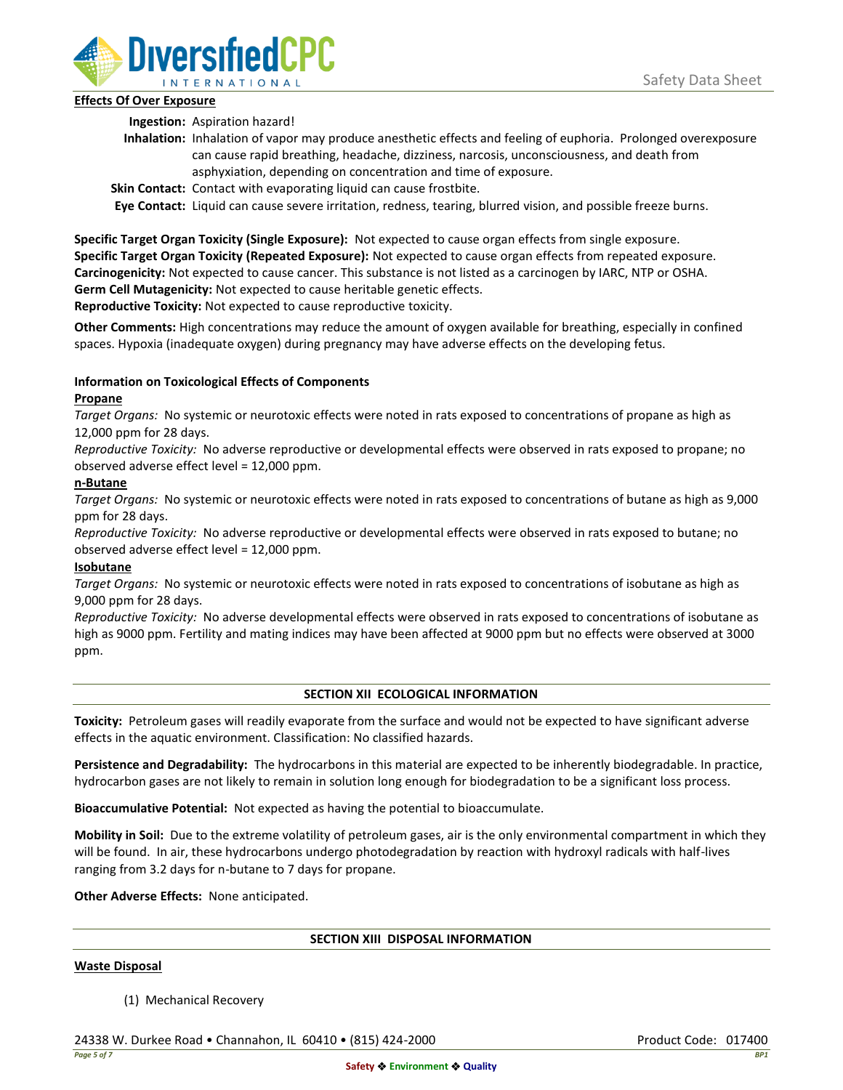

## **Effects Of Over Exposure**

**Ingestion:** Aspiration hazard!

- **Inhalation:** Inhalation of vapor may produce anesthetic effects and feeling of euphoria. Prolonged overexposure can cause rapid breathing, headache, dizziness, narcosis, unconsciousness, and death from asphyxiation, depending on concentration and time of exposure.
- **Skin Contact:** Contact with evaporating liquid can cause frostbite.

**Eye Contact:** Liquid can cause severe irritation, redness, tearing, blurred vision, and possible freeze burns.

**Specific Target Organ Toxicity (Single Exposure):** Not expected to cause organ effects from single exposure. **Specific Target Organ Toxicity (Repeated Exposure):** Not expected to cause organ effects from repeated exposure. **Carcinogenicity:** Not expected to cause cancer. This substance is not listed as a carcinogen by IARC, NTP or OSHA. **Germ Cell Mutagenicity:** Not expected to cause heritable genetic effects.

**Reproductive Toxicity:** Not expected to cause reproductive toxicity.

**Other Comments:** High concentrations may reduce the amount of oxygen available for breathing, especially in confined spaces. Hypoxia (inadequate oxygen) during pregnancy may have adverse effects on the developing fetus.

# **Information on Toxicological Effects of Components**

## **Propane**

*Target Organs:* No systemic or neurotoxic effects were noted in rats exposed to concentrations of propane as high as 12,000 ppm for 28 days.

*Reproductive Toxicity:* No adverse reproductive or developmental effects were observed in rats exposed to propane; no observed adverse effect level = 12,000 ppm.

## **n-Butane**

*Target Organs:* No systemic or neurotoxic effects were noted in rats exposed to concentrations of butane as high as 9,000 ppm for 28 days.

*Reproductive Toxicity:* No adverse reproductive or developmental effects were observed in rats exposed to butane; no observed adverse effect level = 12,000 ppm.

# **Isobutane**

*Target Organs:* No systemic or neurotoxic effects were noted in rats exposed to concentrations of isobutane as high as 9,000 ppm for 28 days.

*Reproductive Toxicity:* No adverse developmental effects were observed in rats exposed to concentrations of isobutane as high as 9000 ppm. Fertility and mating indices may have been affected at 9000 ppm but no effects were observed at 3000 ppm.

# **SECTION XII ECOLOGICAL INFORMATION**

**Toxicity:** Petroleum gases will readily evaporate from the surface and would not be expected to have significant adverse effects in the aquatic environment. Classification: No classified hazards.

**Persistence and Degradability:** The hydrocarbons in this material are expected to be inherently biodegradable. In practice, hydrocarbon gases are not likely to remain in solution long enough for biodegradation to be a significant loss process.

**Bioaccumulative Potential:** Not expected as having the potential to bioaccumulate.

**Mobility in Soil:** Due to the extreme volatility of petroleum gases, air is the only environmental compartment in which they will be found. In air, these hydrocarbons undergo photodegradation by reaction with hydroxyl radicals with half-lives ranging from 3.2 days for n-butane to 7 days for propane.

**Other Adverse Effects:** None anticipated.

### **SECTION XIII DISPOSAL INFORMATION**

### **Waste Disposal**

(1) Mechanical Recovery

24338 W. Durkee Road • Channahon, IL 60410 • (815) 424-2000 Product Code: 017400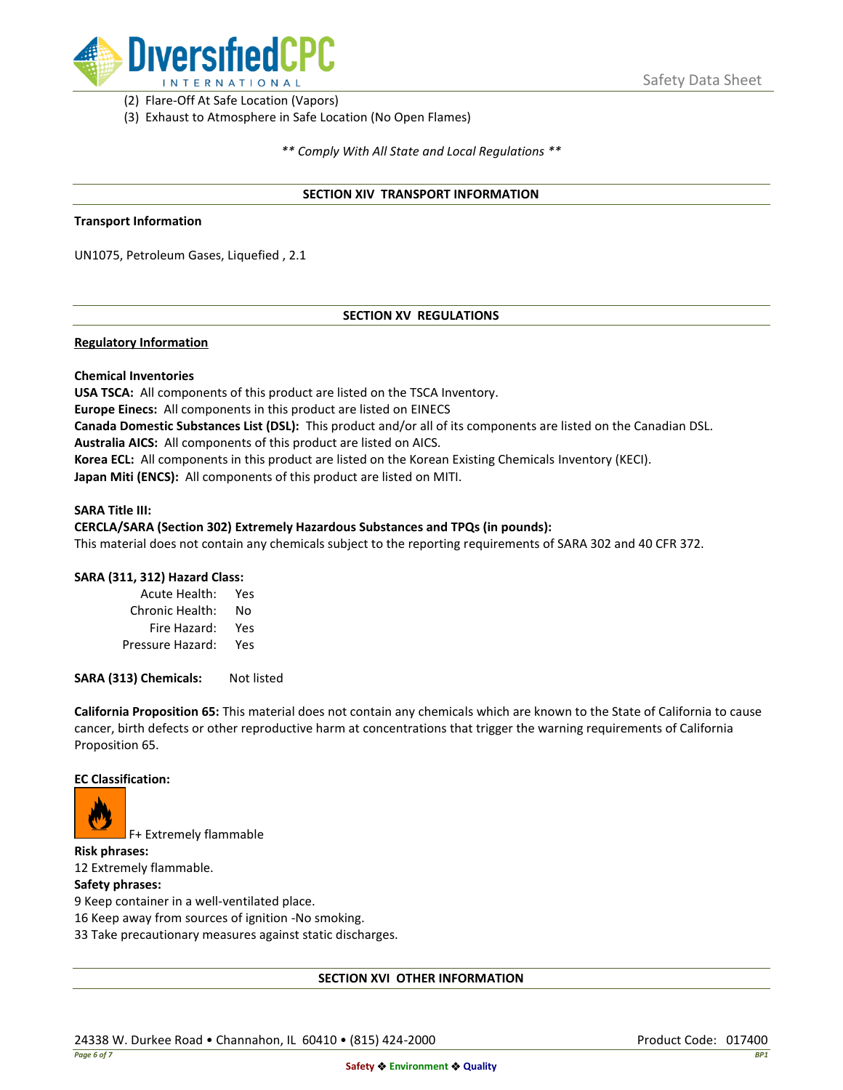

(2) Flare-Off At Safe Location (Vapors)

(3) Exhaust to Atmosphere in Safe Location (No Open Flames)

*\*\* Comply With All State and Local Regulations \*\**

### **SECTION XIV TRANSPORT INFORMATION**

#### **Transport Information**

UN1075, Petroleum Gases, Liquefied , 2.1

## **SECTION XV REGULATIONS**

### **Regulatory Information**

### **Chemical Inventories**

**USA TSCA:** All components of this product are listed on the TSCA Inventory. **Europe Einecs:** All components in this product are listed on EINECS **Canada Domestic Substances List (DSL):** This product and/or all of its components are listed on the Canadian DSL. **Australia AICS:** All components of this product are listed on AICS. **Korea ECL:** All components in this product are listed on the Korean Existing Chemicals Inventory (KECI). **Japan Miti (ENCS):** All components of this product are listed on MITI.

#### **SARA Title III:**

### **CERCLA/SARA (Section 302) Extremely Hazardous Substances and TPQs (in pounds):**

This material does not contain any chemicals subject to the reporting requirements of SARA 302 and 40 CFR 372.

### **SARA (311, 312) Hazard Class:**

| Acute Health:    | Yes |
|------------------|-----|
| Chronic Health:  | No  |
| Fire Hazard:     | Yes |
| Pressure Hazard: | Yes |

**SARA (313) Chemicals:** Not listed

**California Proposition 65:** This material does not contain any chemicals which are known to the State of California to cause cancer, birth defects or other reproductive harm at concentrations that trigger the warning requirements of California Proposition 65.

#### **EC Classification:**



F+ Extremely flammable

**Risk phrases:** 12 Extremely flammable.

## **Safety phrases:**

9 Keep container in a well-ventilated place.

16 Keep away from sources of ignition -No smoking.

33 Take precautionary measures against static discharges.

### **SECTION XVI OTHER INFORMATION**